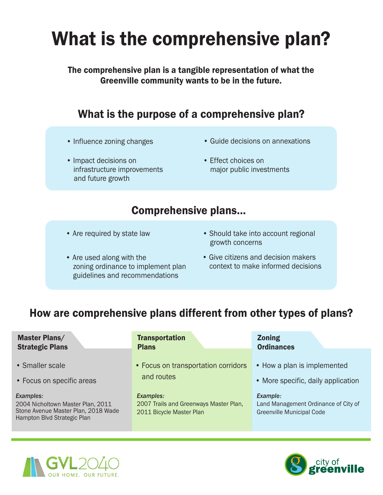# What is the comprehensive plan?

The comprehensive plan is a tangible representation of what the Greenville community wants to be in the future.

## What is the purpose of a comprehensive plan?

- 
- Impact decisions on Effect choices on infrastructure improvements major public investments and future growth
- Influence zoning changes Guide decisions on annexations
	-

#### Comprehensive plans...

- Are required by state law
- Are used along with the zoning ordinance to implement plan guidelines and recommendations
- Should take into account regional growth concerns
- Give citizens and decision makers context to make informed decisions

## How are comprehensive plans different from other types of plans?

| <b>Master Plans/</b>                                                                                                 | <b>Transportation</b>                                                                  | <b>Zoning</b>                                                                        |
|----------------------------------------------------------------------------------------------------------------------|----------------------------------------------------------------------------------------|--------------------------------------------------------------------------------------|
| <b>Strategic Plans</b>                                                                                               | <b>Plans</b>                                                                           | <b>Ordinances</b>                                                                    |
| • Smaller scale                                                                                                      | • Focus on transportation corridors                                                    | • How a plan is implemented                                                          |
| • Focus on specific areas                                                                                            | and routes                                                                             | • More specific, daily application                                                   |
| Examples:<br>2004 Nicholtown Master Plan, 2011<br>Stone Avenue Master Plan, 2018 Wade<br>Hampton Blvd Strategic Plan | <b>Examples:</b><br>2007 Trails and Greenways Master Plan,<br>2011 Bicycle Master Plan | Example:<br>Land Management Ordinance of City of<br><b>Greenville Municipal Code</b> |